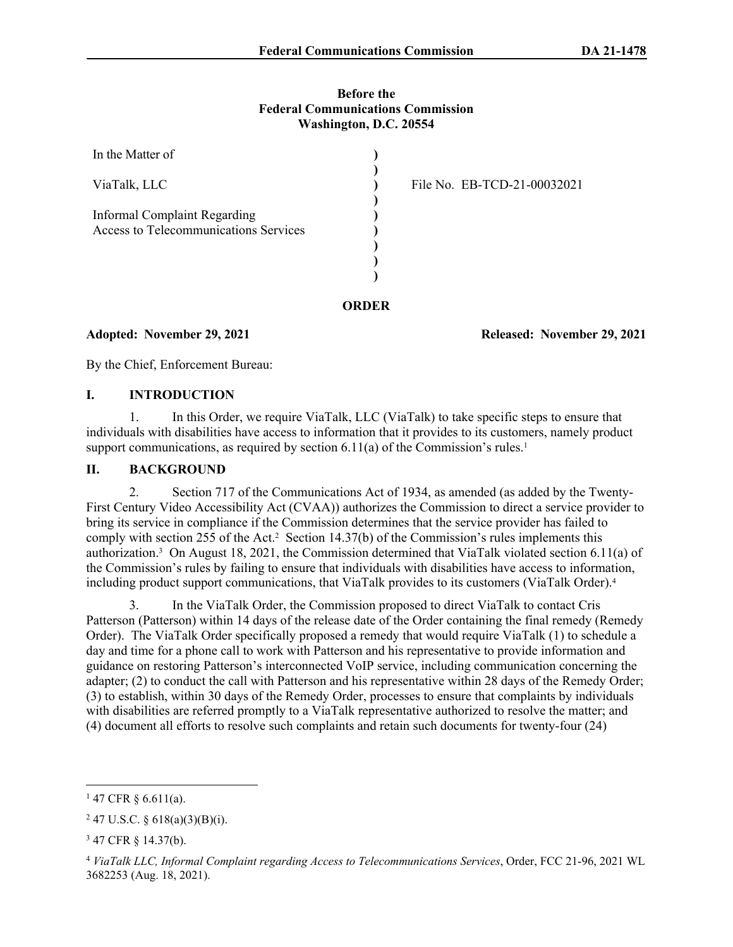#### **Before the Federal Communications Commission Washington, D.C. 20554**

| In the Matter of                                                                    |                             |
|-------------------------------------------------------------------------------------|-----------------------------|
| ViaTalk, LLC                                                                        | File No. EB-TCD-21-00032021 |
| <b>Informal Complaint Regarding</b><br><b>Access to Telecommunications Services</b> |                             |
|                                                                                     |                             |

**Adopted: November 29, 2021 Released: November 29, 2021**

By the Chief, Enforcement Bureau:

#### **I. INTRODUCTION**

1. In this Order, we require ViaTalk, LLC (ViaTalk) to take specific steps to ensure that individuals with disabilities have access to information that it provides to its customers, namely product support communications, as required by section  $6.11(a)$  of the Commission's rules.<sup>1</sup>

### **II. BACKGROUND**

2. Section 717 of the Communications Act of 1934, as amended (as added by the Twenty-First Century Video Accessibility Act (CVAA)) authorizes the Commission to direct a service provider to bring its service in compliance if the Commission determines that the service provider has failed to comply with section 255 of the Act.<sup>2</sup> Section 14.37(b) of the Commission's rules implements this authorization.<sup>3</sup> On August 18, 2021, the Commission determined that ViaTalk violated section 6.11(a) of the Commission's rules by failing to ensure that individuals with disabilities have access to information, including product support communications, that ViaTalk provides to its customers (ViaTalk Order).<sup>4</sup>

3. In the ViaTalk Order, the Commission proposed to direct ViaTalk to contact Cris Patterson (Patterson) within 14 days of the release date of the Order containing the final remedy (Remedy Order). The ViaTalk Order specifically proposed a remedy that would require ViaTalk (1) to schedule a day and time for a phone call to work with Patterson and his representative to provide information and guidance on restoring Patterson's interconnected VoIP service, including communication concerning the adapter; (2) to conduct the call with Patterson and his representative within 28 days of the Remedy Order; (3) to establish, within 30 days of the Remedy Order, processes to ensure that complaints by individuals with disabilities are referred promptly to a ViaTalk representative authorized to resolve the matter; and (4) document all efforts to resolve such complaints and retain such documents for twenty-four (24)

 $147$  CFR § 6.611(a).

 $247$  U.S.C. § 618(a)(3)(B)(i).

<sup>3</sup> 47 CFR § 14.37(b).

<sup>4</sup> *ViaTalk LLC, Informal Complaint regarding Access to Telecommunications Services*, Order, FCC 21-96, 2021 WL 3682253 (Aug. 18, 2021).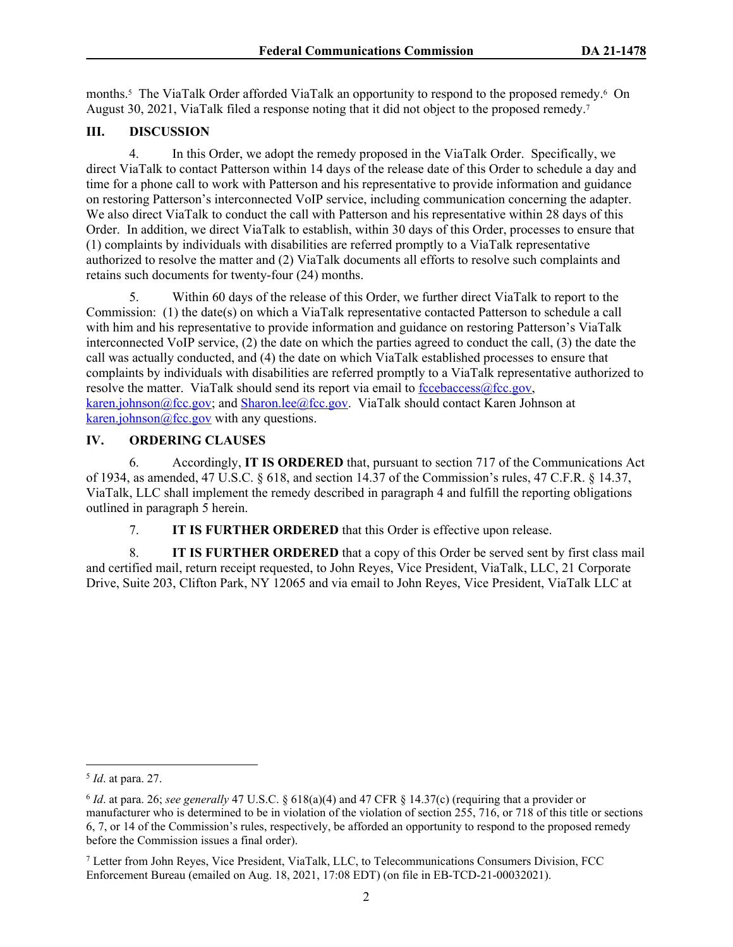months.<sup>5</sup> The ViaTalk Order afforded ViaTalk an opportunity to respond to the proposed remedy.<sup>6</sup> On August 30, 2021, ViaTalk filed a response noting that it did not object to the proposed remedy.<sup>7</sup>

# **III. DISCUSSION**

4. In this Order, we adopt the remedy proposed in the ViaTalk Order. Specifically, we direct ViaTalk to contact Patterson within 14 days of the release date of this Order to schedule a day and time for a phone call to work with Patterson and his representative to provide information and guidance on restoring Patterson's interconnected VoIP service, including communication concerning the adapter. We also direct ViaTalk to conduct the call with Patterson and his representative within 28 days of this Order. In addition, we direct ViaTalk to establish, within 30 days of this Order, processes to ensure that (1) complaints by individuals with disabilities are referred promptly to a ViaTalk representative authorized to resolve the matter and (2) ViaTalk documents all efforts to resolve such complaints and retains such documents for twenty-four (24) months.

5. Within 60 days of the release of this Order, we further direct ViaTalk to report to the Commission: (1) the date(s) on which a ViaTalk representative contacted Patterson to schedule a call with him and his representative to provide information and guidance on restoring Patterson's ViaTalk interconnected VoIP service, (2) the date on which the parties agreed to conduct the call, (3) the date the call was actually conducted, and (4) the date on which ViaTalk established processes to ensure that complaints by individuals with disabilities are referred promptly to a ViaTalk representative authorized to resolve the matter. ViaTalk should send its report via email to [fccebaccess@fcc.gov](mailto:fccebaccess@fcc.gov), [karen.johnson@fcc.gov;](mailto:karen.johnson@fcc.gov) and [Sharon.lee@fcc.gov.](mailto:Sharon.lee@fcc.gov) ViaTalk should contact Karen Johnson at [karen.johnson@fcc.gov](mailto:karen.johnson@fcc.gov) with any questions.

## **IV. ORDERING CLAUSES**

6. Accordingly, **IT IS ORDERED** that, pursuant to section 717 of the Communications Act of 1934, as amended, 47 U.S.C. § 618, and section 14.37 of the Commission's rules, 47 C.F.R. § 14.37, ViaTalk, LLC shall implement the remedy described in paragraph 4 and fulfill the reporting obligations outlined in paragraph 5 herein.

7. **IT IS FURTHER ORDERED** that this Order is effective upon release.

8. **IT IS FURTHER ORDERED** that a copy of this Order be served sent by first class mail and certified mail, return receipt requested, to John Reyes, Vice President, ViaTalk, LLC, 21 Corporate Drive, Suite 203, Clifton Park, NY 12065 and via email to John Reyes, Vice President, ViaTalk LLC at

<sup>5</sup> *Id*. at para. 27.

<sup>6</sup> *Id*. at para. 26; *see generally* 47 U.S.C. § 618(a)(4) and 47 CFR § 14.37(c) (requiring that a provider or manufacturer who is determined to be in violation of the violation of section 255, 716, or 718 of this title or sections 6, 7, or 14 of the Commission's rules, respectively, be afforded an opportunity to respond to the proposed remedy before the Commission issues a final order).

<sup>7</sup> Letter from John Reyes, Vice President, ViaTalk, LLC, to Telecommunications Consumers Division, FCC Enforcement Bureau (emailed on Aug. 18, 2021, 17:08 EDT) (on file in EB-TCD-21-00032021).